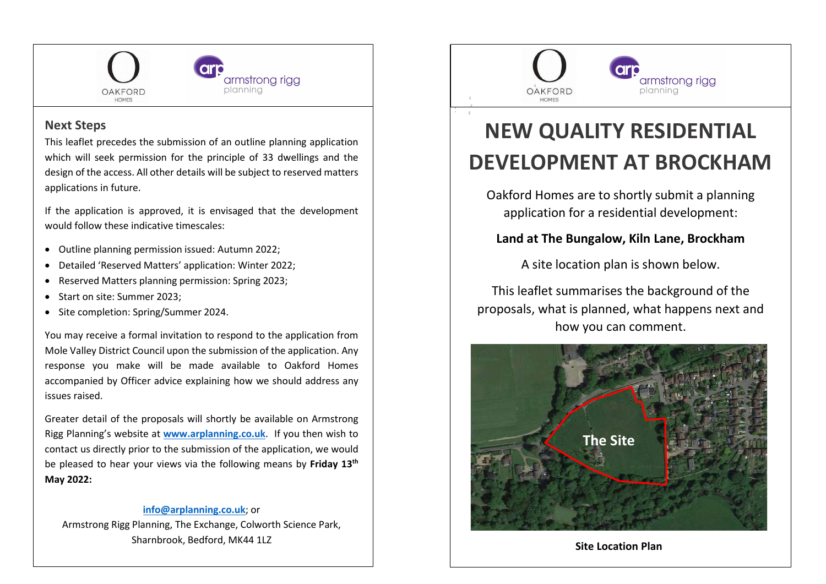

## Next Steps

This leaflet precedes the submission of an outline planning application which will seek permission for the principle of 33 dwellings and the design of the access. All other details will be subject to reserved matters applications in future.

If the application is approved, it is envisaged that the development would follow these indicative timescales:

- Outline planning permission issued: Autumn 2022;
- Detailed 'Reserved Matters' application: Winter 2022;
- Reserved Matters planning permission: Spring 2023;
- Start on site: Summer 2023:
- Site completion: Spring/Summer 2024.

You may receive a formal invitation to respond to the application from Mole Valley District Council upon the submission of the application. Any response you make will be made available to Oakford Homes accompanied by Officer advice explaining how we should address any issues raised.

Greater detail of the proposals will shortly be available on Armstrong Rigg Planning's website at www.arplanning.co.uk. If you then wish to contact us directly prior to the submission of the application, we would be pleased to hear your views via the following means by Friday 13<sup>th</sup> May 2022:

#### info@arplanning.co.uk; or

Armstrong Rigg Planning, The Exchange, Colworth Science Park, Sharnbrook, Bedford, MK44 1LZ



# NEW QUALITY RESIDENTIAL DEVELOPMENT AT BROCKHAM

Oakford Homes are to shortly submit a planning application for a residential development:

## Land at The Bungalow, Kiln Lane, Brockham

A site location plan is shown below.

This leaflet summarises the background of the proposals, what is planned, what happens next and how you can comment.



Site Location Plan